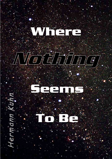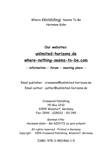Where **Nothing** Seems To Be Hermann Kuhn

# **Our websites: unlimited-horizons.de where-nothing-seems-to-be.com**

**- information - forum - meeting place -**

Email publisher: crosswind@unlimited-horizons.de Email author: author@unlimited-horizons.de

> Crosswind Publishing PO Box 2210 31505 Wunstorf, Germany Fax: 0049 - (0)5033 - 911 045

German title: Hermann Kuhn – Wo NICHTS zu sein scheint

All rights reserved - Printed in Germany Copyright 2009 Crosswind Publishing, Wunstorf, Germany

ISBN 978-3-9811466-1-5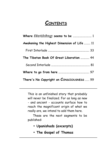# **CONTENTS**

| Awakening the Highest Dimension of Life  11 |  |
|---------------------------------------------|--|
|                                             |  |
| The Tibetan Book Of Great Liberation  44    |  |
|                                             |  |
|                                             |  |
| There's No Copyright on CONSCIOUSNESS  99   |  |

This is an unfinished story that probably will never be finalized. For as long as new - and ancient - accounts surface how to reach the magnificent origin of what we really are, we intend to add them here.

These are the next segments to be published:

- **Upanishads (excerpts)**
- **The Gospel of Thomas**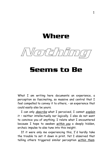# **Where**



# **Seems to Be**

What I am writing here documents an experience, a perception so fascinating, so massive and central that I feel compelled to convey it to others, - an experience that could easily also be yours.

I can only *describe* what I perceived, I cannot *explain* it – neither intellectually nor logically. I also do not want to convince you of anything. I relate what I encountered because I hope to awaken within you a deeply hidden, archaic impulse to also tune into this insight.

If it were only me experiencing this, I'd hardly take the trouble to set it down in print. Yet I observed that telling others triggered similar perception within them.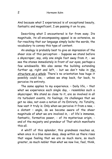And because what I experienced is of exceptional beauty, fantastic and magnificent, I am passing it on to you.

Describing what I encountered is far from easy. Its magnitude, its all-encompassing appeal is so extensive, so far-reaching that our language simply lacks the words, the vocabulary to convey this type of content.

An analogy is probably best to give an impression of the sheer size of this perception: - Suppose we stand before a skyscraper, say, only one single foot away from it, - we see the stones immediately in front of our eyes, perhaps a few windowsills. We also sense the building extending further up, right and left, - but we don't take in  $the$ structure as a whole. There's no orientation how huge it possibly could be, - unless we step back, far back, to perceive its entirety.

The same applies to my experience. – Daily life, – that what we experience each single day, - resembles such a skyscraper. We stand so close to it, are so involved in all its turbulent events, its feelings, its challenges that we get no idea, not even a notion of its Entirety, its Totality, how vast it truly is. Only when we perceive it from a new, a distant – angle, do we become aware of the sheer magnitude of what we are involved in, - of life's immense, fantastic, formative power, - of its mysterious origin, and of the majesty and grandeur of That which manifests this all.

A whiff of this splendor, this grandness reaches us, when once in a blue moon deep, deep within us there rises that vague feeling that we are so much more, so much greater, so much nobler than what we now live, feel, think,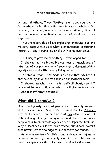act and tell others. These fleeting insights open our eyes – for whatever brief time - that existence as a whole is far broader, far wider, and has far greater dignity than all our materially, egoistically motivated dealings taken together.

This Grandeur, this all-encompassing, profound, sublime Majesty deep within us is what I experienced in supreme intensity, - and it remained awake within me ever since.

This insight gave me everything I ever longed for.

It showed me the incredible vastness of knowledge, of intuition, of comprehension, of sovereignty dormant within myself - dormant within every living being.

It lifted all fear, - and made me aware that *any* fear is only caused by an exclusive focus on our material form.

It showed me what this life is really all about, - what I am meant to do with it, - and what it will give me in return.

And it is infinitely beautiful.

#### **What did I perceive ?**

Now, – religiously oriented people might eagerly suggest that I experienced God. - But I emphatically *disagree* with this opinion. I am certain that *any* idea of 'God' is externalizing, is projecting qualities and abilities we carry deep within to an outside agency that's separate from us. Why disconnect ourselves from these, our inborn powers that hover just at the edge of our present awareness?

As long as we transfer this grand, sublime part of us to an external entity, we simply restrict our abilities to directly experience its full strength and make it our own.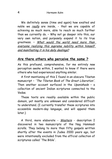We definitely sense (time and again) how exalted and noble we really are inside, - that we are capable of achieving so much more, able to reach so much farther than we currently do. – Why not go deeper into this, our very own notion, and purposely expand it to its true greatness. - What would the world need more than everyone realizing this supreme nobility within himself and manifesting it in his daily dealings?

#### **Are there others who perceive the same ?**

As this profound, comprehensive, for me entirely new perception awoke within, I wanted to know if there were others who had experienced anything similar.

A first mentioning of this I found in an obscure Tibetan manuscript – 'The Tibetan Book of The Great Liberation'. Then another account surfaced in the Upanishads - a collection of ancient Indian scriptures connected to the Vedas.

These texts are readily available within the public domain, yet mostly are unknown and considered difficult to understand. (I currently transfer these scriptures into accessible modern-day language, and will append them later.)

A third, more elaborate - Western - description I discovered in two manuscripts of the Nag Hammadi scrolls. They belong to more than fifty gospels written shortly after the events in Judea 2000 years ago, but were intentionally excluded from the official collection of scriptures called 'The Bible'.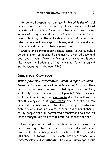Actually all gospels not deemed in line with the official policy fixed by the bishop of Rome, were declared heresies – long before Christianity became a 'government endorsed' religion, - and discarded in total disregard what invaluable insights these first-hand accounts could give into the original message of Jesus, and how significant their contents were for future generations.

Owning and communicating these contents was punished by banishment or death, the manuscripts hunted down and destroyed - apart from the few spirited away and hidden like those the Bedouins of Nag Hammadi found in an old earthenware jar in the year 1945.

#### **Dangerous Knowledge**

**What powerful information, what dangerous knowledge did these ancient scriptures contain** that they had to be destroyed, be taken so totally out of circulation, so totally out of the minds of all people? What message could be so menacing that even today it is still unknown to almost everyone, that even today the catholic church undertakes considerable efforts to cover up this information, declare it as irrelevant, render it incomprehensible to lay people through convoluted translations to keep its inner strength low, to detract from its inherent power?

Few people know that early Christianity witnessed an outdrawn fight between two fundamentally different fractions, the consequences of which still profoundly influence us today: - The clash between those who directly experience authentic, individual knowledge about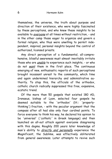themselves, the universe, the truth about purpose and direction of their existence, who were highly fascinated by these perceptions, and who knew these insights to be available to everyone at all times without restriction, - and in the other camp those eager to organize and govern a formal religion, who thus were unwilling to permit independent, inspired, personal insights beyond the control of authorized, licensed priests.

Any direct perception of a fundamental, all-comprehensive, blissful awareness must almost inevitably irritate those who are *unable* to experience such insights, - or who do not want them in the first place. The continuous emerging of new, enthusiastic reports of such perceptions brought incessant unrest to the community, which time and again undermined hierarchy and administrative authority. To stop this, the officials of the orthodox, catholic church radically suppressed this free, expansive, ecstatic trend.

Of the more than 50 gospels that existed 180 AD, Irenaeus, bishop of Lyon, selected four gospels he deemed suitable to the 'orthodox' (lit.: 'properlythinking') fraction, - with the peculiar argument that the compass after all had also only four cardinal points. To force everyone to think his way, he declared his opinion to be 'universal' ('catholic' in Greek language) and then launched an all-out attack against everyone disagreeing with this dogma. Roughly 200 years later knowledge of man's ability to *directly and personally* experience the Magnificent, the Sublime, was effectively obliterated from general awareness. Later attempts to revive such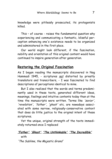knowledge were pitilessly prosecuted, its protagonists killed.

This – of course - raises the fundamental question why experiencing and communicating a fantastic, blissful perception enhancing one's existence needs to be organized and administered in the first place.

Our world might look different, if the fascination, nobility and orientation of this original content would have continued to inspire generation after generation.

#### **Restoring the Original Fascination**

As I began reading the manuscripts discovered in Nag Hammadi 1945, - scriptures not distorted by priestly translators and transcribers, - I was fascinated to find descriptions of perceptions identical to mine.

But I also realized that the words and terms predominantly used in these texts, generated different ideas, meanings, feelings and intuitive contents today than at the time the manuscripts were written. Terms like 'savior', 'revelation', 'father', 'ghost' etc. are nowadays associated with some narrow, religiously-conservative context that does do little justice to the original intent of these scriptures.

Yet the unique, original strength of the texts immediately returned once I replaced

#### **'Father'**, **'Ghost'**, **'The Unthinkable'**, **'The Incredible'** with

'The Sublime, the Majestic Grand'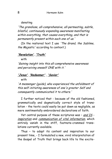denoting

'The grandiose, all-comprehensive, all-permeating, subtle, blissful, continuously expanding awareness manifesting within everything, that causes everything, and that is permanently present within each one of us.'

(In the restored text I use 'The Grand, the Sublime, the Majestic' according to context.)

#### **'Revelation'**, **'Truth'**

with

'Gaining insight into this all-comprehensive awareness and perceiving oneself ONE with it.'

#### **'Jesus'**, **'Redeemer'** , **'Savior'**

with

'A messenger (guide), who experienced the unfoldment of this self-initiating awareness of one's greater Self and consequently communicated it to others.'

I further noticed that - because of the old fashioned, grammatically and dogmatically correct style of translation - the texts could easily be put down as negligible, as mere sentimentally embroidered declarations of faith.

Yet central purpose of these scriptures was – and IS inspiration and communication of vital information, which entirely vanish in the stiff, footnote-crammed translations currently available.

Thus – to adapt its content and inspiration to our present time, - I formulated a new, vivid interpretation of the Gospel of Truth that brings back life to the excite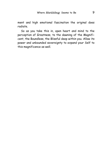ment and high emotional fascination the original does radiate.

So as you take this in, open heart and mind to the perception of Greatness, to the dawning of the Magnificent, the Boundless, the Blissful deep within you. Allow its power and unbounded sovereignty to expand your Self to this magnificence as well.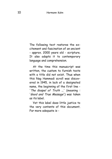The following text restores the excitement and fascination of an ancient - approx. 2000 years old - scripture. It also adapts it to contemporary language and comprehension.

At the time this manuscript was written, the custom to furnish texts with a title did not exist. Thus when this Nag Hammadi scroll was discovered in 1945, in lack of a designated name, the beginning of the first line - 'The Gospel of Truth ...' (meaning : 'Good and True Message') was taken as its label.

Yet this label does little justice to the very contents of this document. Far more adequate is -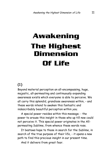# **Awakening The Highest Dimension Of Life**

#### **(1)**

Beyond material perception an all-encompassing, huge, majestic, all-permeating and continuously expanding awareness exists which everyone is able to perceive. We all carry this splendid, grandiose awareness within, - and these words intend to awaken this fantastic and indescribably beautiful perception within you.

A special power resides within this message; - the power to arouse this insight in those who up till now could not perceive it. This special power originates in the Allpermeating Sublime, from whence these words rose.

It bestows hope to those in search for the Sublime, in search of the true purpose of their life, - it opens a new path to find this precious insight in our present time.

And it delivers from great fear.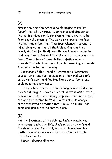#### **(2)**

Now is the time the material world begins to realize (again) that all its norms, its principles and objectives, that all it strives for, is far from ultimate truth, is far from any valid meaning. The world awakens to the fact that its true origin, that That from whence it sprang, is infinitely greater than all the idols and images it so smugly defines for itself. And the world again begins to seek why it experiences life, and where it truly originates from. Thus it turned towards the Unfathomable, towards That which escapes all petty reasoning, - towards That which is beyond thinking.

Ignorance of this Grand All-Permeating Awareness caused terror and fear to seep into the world. It suffocated man's spirit and feelings like a dense fog no-one could penetrate any more.

Through fear, terror and by choking man's spirit error widened its might. Devoid of reason, in total lack of truth, compassion and understanding its power bent and twisted the world of matter to its will. With immense energy error concocted a creation that – in lieu of truth – had pomp and glamour as its central place.

#### **(3)**

Yet the Greatness of the Sublime Unfathomable was never even touched by this. Unaffected by error's and falsehood's creation, firmly grounded in unshakeable truth, it remained unmoved, unchanged in its infinite attractive beauty.

Hence - despise all error !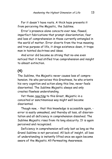For it doesn't have roots. A thick haze prevents it from perceiving the Majestic, the Sublime.

Error's presence alone concocts ever new, flawed, imperfect fabrications that prompt disorientation, fear and loss of comprehension in those currently entangled in the world of matter. Error diverts from the true meaning and true purpose of life, it drags existence down, it traps man in tainted doctrines and ideas.

And error did become so strong that no-one even noticed that it had stifled true comprehension and insight to almost extinction.

## **(4)**

The Sublime, the Majestic never causes loss of comprehension. He who perceives this Greatness, he who orients his very cognition and action along this line, never feels disoriented. The Sublime Majestic always and only creates flawless understanding.

Yet those reacting to this Great, Majestic in a conceited or sanctimonious way might well become disoriented.

Though now, - that this knowledge is accessible again, error is easily unmasked, and thereby all loss, all disorientation and all deficiency in comprehension dissolved. The Sublime Majestic rises from its long obscurity. It is again perceived and recognized.

Deficiency in comprehension will only last as long as the Grand Sublime is not perceived. All lack of insight, all loss of understanding is instantly lifted once we again become aware of the Majestic All-Permeating Awareness.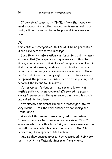If perceived consciously ONCE, - from that very moment onwards this exalted perception is never lost to us again, - it continues to always be present in our awareness.

#### **(5)**

This conscious recognition, this solid, sublime perception is the core content of this message.

Long time this information was forgotten, but the messenger called Jesus made man again aware of this. To those, who because of their lack of comprehension lived in timidity and darkness, he showed that to directly perceive the Grand Majestic Awareness was inborn to them and that this was their very right of birth. His message re-opened the path where untouched truth is guiding and becomes the means to illumination.

Yet error got furious as it had come to know that truth's path had been reopened. (It sensed its power wane.) It persecuted the messenger, destroyed his body and nailed him to a tree.

Yet exactly this transformed the messenger into its very symbol, - into the very essence of awakening the Grand Truth.

A symbol that never causes ruin, but grows into a fabulous treasure to those who are perceiving This. In everyone who finds this Grand Majestic Awareness within himself, an imperishable connection opens to the All-Permeating, Incomprehensible Sublime.

And as they became aware, they recognized their very identity with the Majestic Supreme, from whence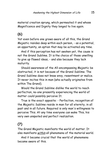material creation sprung, which permeated it and whose Magnificence and Dignity they longed to live again.

## **(6)**

Yet even before one grows aware of all this, the Grand Majestic resides deep within each person, - as a potential, an opportunity, an option that may be activated any time.

And if this perception has not awoken yet, the cause is not the Grand Sublime. It is the choice of those unwilling to give up flawed ideas, - and also because they lack maturity.

Should awareness of the All-encompassing Majestic be obstructed, it is not because of the Grand Sublime. The Grand Sublime does not know envy, resentment or malice. It never incites this in man (who actually originates from within The Grand).

Would the Grand Sublime dislike the world to reach perfection, no-one presently experiencing the world of matter could possibly perceive It.

True is the exact opposite: - Perfection, recognition of the Majestic Sublime reside in man for all eternity, in all past and in all future. Required is only man's willingness to perceive This. At any time everyone can wake This, his very own unspoiled and perfect realization.

# **(7)**

The Grand Majestic manifests the world of matter. It also manifests within all phenomena of the material world.

And it became crucial that the world of phenomena became aware of this.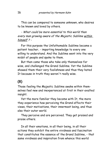This can be compared to someone unknown, who desires to be known and loved by others.

#### - What could be more essential to this world than every man growing aware of the Majestic Sublime within himself ? -

For this purpose the Unfathomable Sublime became a patient teacher, - imparting knowledge to every one willing to understand. And the Sublime went into the very midst of people and spoke to them.

But then came those who take only themselves for wise, and challenged the Grand Sublime. Yet the Sublime showed them their very foolishness and thus they hated It because in truth they weren't really wise.

#### **(8)**

Those feeling the Majestic Sublime awake within themselves feel new and inexperienced at first in their exalted insight.

Yet the more familiar they become with It, the more they experience how perceiving the Grand affects their views, their motivations, their innermost being, and thus also their outer world.

They perceive and are perceived. They get praised and praise others.

In all their emotions, in all their being, in all their actions they exhibit the entire vividness and fascination that constitutes the essence of the Grand Sublime, - that same vividness and inspiration from whence this world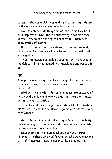sprang, - the same vividness and inspiration that existed in the Majestic Awareness even before that.

No-one can ever destroy this essence, this liveliness, this inspiration. Only those obliterating it within themselves, - those not wanting to perceive it, - face ever anew cycles of deaths.

But to those longing for release, for enlightenment, this fascination becomes life's focus and the path that's leading there.

Thus the messenger called Jesus patiently endured all hardships till he had gained this knowledge and passed it on.

## **(9)**

This process of insight is like reading a last will: - Before it is read to us, we are unaware of what wealth we inherited.

Similarly this world: - For as long as we are unaware of this world's origin and why we exist in it, we don't know our true, vast potential.

Therefore the messenger called Jesus took on material existence; - to make this knowledge his own and to reveal it to others.

And after stripping off the fragile fabric of his body, his essence garbed in immortality, in an indestructibility no-one can ever take from him.

Descending to the regions where fear and terror reigned, - to those who had forgotten, who were unaware of their innermost radiant essence, he revealed that in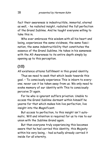fact their awareness is indestructible, immortal, eternal as well, - he radiated insight, radiated the full perfection of the Grand Sublime. And he taught everyone willing to take this in.

Who ever embraces this wisdom with all his heart and being, experiences the same vividness, the same fascination, the same indestructibility that constitutes the essence of the Grand Sublime. He takes in his sameness with the All-Awareness to its entire depth simply by opening up to this perception.

#### **(10)**

All existence attains fulfillment in this grand identity.

Thus we need to seek that which leads towards this goal. – To consciously experience This is inborn to everyone; never can it be taken away from us. We only need to evoke memory of our identity with This to consciously perceive It again.

For he who is ignorant suffers privation. Unable to access the Grand Sublime dormant within himself he yearns for that which makes him live perfection, live insight into the Magnificent.

But access to perfection, to this insight isn't automatic. Will and intention is required for us to rise to our union with the Sublime Grand again.

But then everyone truly experiencing this becomes aware that he had carried this identity, this Majesty within his very being, - had actually already carried it inside for all eternity.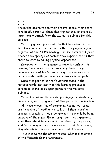#### **(11)**

Those who desire to see their dreams, ideas, their fears take bodily form (i.e. those desiring material existence), intentionally detach from the Majestic Sublime for this purpose.

Yet they go well prepared into this formative encounter. They go in perfect certainty that they again regain cognition of the All-Permeating, Sublime Awareness (from whence they sprang), as soon as they experienced all they chose to learn by taking physical appearance.

**Everyone** with the immense courage to confront his dreams, ideas as well as his fears in material form, becomes aware of his fantastic origin as soon as his or her encounter with (material) experiences is complete.

Once that part of us that's not immersed in the material world, notices that this learning process is concluded, it makes us again perceive the Majestic Sublime.

Yet as long as we still are deeply engaged in (material) encounters, we stay ignorant of this particular connection.

All those whose time of awakening has not yet come, are incapable of heeding this call. Until their learning process is complete they stay ignorant, - for only by being unaware of their magnificent origin can they experience what they intend to learn with the intensity they crave. And for as long as they are unaware of their true origin, they also die in this ignorance once their life ends.

Thus it is worth the effort to seek what makes aware of the Majestic Grand Awareness.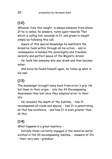#### **(12)**

Whoever lives this insight, is always someone from above. If he is called, he answers, turns again towards That which is calling him, ascends to It, and grows in insight simply by following this call.

Aware of this special knowledge he manifests the Grand he feels within through all his action, - and in consequence is handed the sovereignty and freedom, serenity and perfect peace of the Majestic Grand.

He feels like someone who was drunk and then became sober.

And since he found himself again, he tidies up what is his own.

## **(13)**

The messenger brought many back from error's grip. He led them to their origin, - into the All-Encompassing Awareness they lost once they adopted error to their life.

He revealed the depth of the Sublime, – how It encompasses all roads and spaces, - how It is penetrating all that has existence, - and how It is even greater than all this.

#### **(14)**

What happens is a great mystery: -

Initially those currently engaged in the material world existed in the All-encompassing Sublime, - unaware of Its – their very own – grandeur.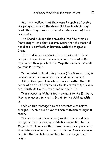And they realized that they were incapable of seeing the full greatness of the Grand Sublime in which they lived. Thus they took on material existence out of their own choice.

The Grand Sublime then revealed itself to them as (new) insight. And they became aware that the material world too is perfectly in harmony with the Majestic Grand.

These individual impulses of consciousness, – these beings in human form, – are unique initiatives of selfexperience through which the Majestic Sublime expands awareness of itself.

Yet knowledge about this process (The Book of Life) is no mere scripture someone may read and interpret foolishly. This special knowledge carries within the full power of truth and clarity only those can truly speak who consciously do live this truth within their life.

These words of highest truth connect to the Entirety, they open access to what is Great, to the Sublime within us.

Each of this message's words presents a complete thought, - each word a flawless manifestation of highest reality.

The words took form (sound) so that the world may recognize their inborn, imperishable connection to the Majestic Sublime, - so that those presently experiencing themselves as separate from the Eternal Awareness again may see the timeless connection to their magnificent origin.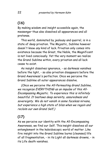## **(16)**

By making wisdom and insight accessible again, the messenger thus also dissolved all appearances and all pretense.

This world, dominated by jealousy and quarrel, is in a state of deep privation. The Majestic, Sublime however doesn't know any kind of lack. Privation only comes into existence because the Great, the Noble, the Magnificent is not lived consciously. Yet the very moment we realize the Grand Sublime within, every privation and all lack cease to exist.

As insight dissolves ignorance, - as darkness vanishes before the light, - so also privation disappears before the Grand Awareness's perfection. Once we perceive the Grand Sublime all outer appearances dissolve.

(Once we perceive the All-Permeating Grand Sublime, we recognize EVERYTHING as an impulse of this All-Encompassing Majestic. To experience this is infinitely beautiful. It bestows deep serenity, assuredness and sovereignty. We do not vanish in some faceless nirvana, but experience a high state of bliss when we regain and reclaim our own Grand Self.)

# **(17)**

As we perceive our identity with the All-Encompassing Awareness, we find our Self. This insight dissolves all our entanglement in the kaleidoscopic world of matter. Like fire insight into the Grand Sublime burns (cleanses) life of all fragmentation, - in its Light all darkness drowns, - in its Life death vanishes.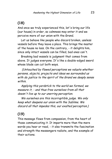#### **(18)**

And once we truly experienced this, let's bring our life (our house) in order, so calmness may enter it and we perceive more of our union with the Grand.

Let us behave like people who discard broken, useless vessels before they leave a place. This brings the master of the house no loss. On the contrary, - it delights him, since only intact vessels can be filled, bad ones can't.

Breaking bad vessels is judgment that comes from above. It judges everyone. It's like a double-edged sword whose blade can cut both ways.

 (Untouched by flawed perceptions we valuate whether persons, objects, projects and ideas we surrounded us with do justice to the spirit of the Grand we deeply sense within.

Applying this yardstick to the world we formed, we measure it, - and thus free ourselves from all that doesn't live up to our unerring perception.

We ourselves are this incorruptible judge. We only keep what deepens our union with the Sublime. We discard all that impedes this, our exalted perception.)

# **(19)**

This message flows from compassion, from the heart of those communicating it. It imparts more than the mere words you hear or read, - it also transmits the fascination and strength the messengers radiate, and the example of their actions.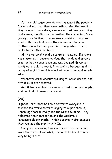Yet this did cause bewilderment amongst the people. – Some realized that they were nothing, despite how high they deemed themselves, - some realized how great they really were, despite the low position they occupied. Some quickly rose to their true eminence, - while others lost what little they had, since they lacked will to grow farther. Some became pure and strong, while others broke before this challenge.

All the material world's quarters trembled. Everyone was shaken as it became obvious that pride and error's creation had no substance and was doomed. Error got terrified, unable to react. It despaired because in all its assumed might it so plainly lacked orientation and knowledge.

Whenever error encounters insight, error drowns, and with it all it ever created.

And it became clear to everyone that error was empty, void and lost all power to mislead.

#### **(20)**

Highest Truth became life's center to everyone it touched (to everyone truly longing to experience It), - enabling them to really see the Grand Sublime. They welcomed their perception and the Sublime's immeasurable strength, – which became theirs because they realized their unity with It.

Everyone perceiving this embraces this clarity and loves the truth It radiates, - because he feels it in his very being's core.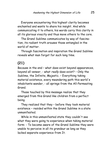Everyone encountering this highest clarity becomes enchanted and wants to share his insight. And while communicating it to others, his words carry this clarity in all its glorious vivacity and thus move others to the core.

The Grand Sublime communicates by way of fascination, its radiant truth arouses those entangled in the world of matter.

Through fascination and inspiration the Grand Sublime reveals what man forgot for such long time.

## **(21)**

Because in the end – what does exist beyond appearances, beyond all veneer, - what really does exist? – Only the Sublime, the Infinite, Majestic. – Everything taking material existence, every meandering path this world's inhabitants wander, - all springs from the All-Permeating Grand.

Those touched by this message realize that they emerged from this Grand like children from a perfect being.

They realized that they – before they took material existence – resided within the Grand Sublime in a state unmanifested.

While in this unmanifested state they couldn't see what they were going to experience when taking material form: - To become aware of the Grand Sublime they were unable to perceive in all its grandeur as long as they lacked separate experience from It.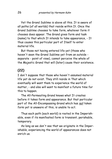Yet the Grand Sublime is above all this. It is aware of all paths (of all worlds) that reside within It. Once the Grand Sublime chooses to take form, whatever form it chooses does appear. The Grand gives form and task (name) to that which It intends to take appearance, - It thus causes this particular part of Itself to enter material life.

But those not having entered life yet (those who haven't seen the Grand Sublime yet from an outside separate - point of view), cannot perceive the whole of the Majestic Grand that will (later) cause their existence.

#### **(22)**

I don't suppose that those who haven't assumed material life yet do not exist. They still reside in That which eventually will want them to experience the world of matter, - and also will want to manifest a future time for this to happen.

The All-Permeating Grand knows what It creates before it takes form and appearance. But that particular part of the All-Encompassing Grand which has not taken form yet is unaware of this, is unable to act.

Thus each path (each world) is rooted in the Imperishable, even if its manifested form is transient, perishable, temporary.

As long as we don't see that we originate in the Imperishable, experiencing the world of appearances does not enrich us.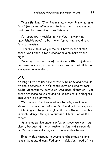Those thinking: 'I am imperishable, even in my material form' (as almost all humans do), lose their life again and again just because they think this way.

Yet some truth resides in this view: - something imperishable *needs* to be there, for nothing could take form otherwise.

Therefore think of yourself: 'I have material existence, yet I take it for a shadow or a chimera of the night.'

Once light (perception of the Grand within us) shines on these horrors (of the night), we realize that all terror was mere hallucination.

## **(23)**

As long as we are unaware of the Sublime Grand because we don't perceive it, we'll continue to be ruled by fear, doubt, vulnerability, confusion, weakness, alienation, - yet these are mere delusions and hallucinations like sleepers encounter in a nightmare.

We flee and don't know where to hide, - we lose all strength and are hunted, - we fight and get beaten, - we fall from great heights or glide through the air, - we feel in mortal danger though no pursuer is seen, - or we kill others.

As long as we live under confusion' sway, we won't gain clarity because of the pervasive illusion that surrounds us. Yet once we wake up, we do became able to see.

Exactly this happens to everyone who sheds his ignorance like a bad dream. Fed up with delusion, tired of the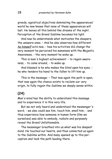greedy, egoistical objectives dominating the appearances' world he now knows that none of these appearances will last. He leaves all this behind like dreams of the night. Perception of the Grand Sublime becomes his light.

And now he understands what motivates the sleepers, the unaware ones. – And he also observes how different he himself acts now, - how his activities did change the very moment he perceived his sameness with the Majestic Awareness, - the very moment he woke up.

This is man's highest achievement: - to regain awareness, - to come around, - to wake up.

And blessed is he who makes the blind open his eyes, he who tenders his hand to the fallen to lift him up.

This is the message: – That now again the path is open, that now again the chance exists to reclaim our very origin, to fully regain the Sublime we deeply sense within.

## **(24)**

Man's mind has the ability to understand this message and to experience it in this very life.

But we not only heard and understood the messenger's word, - we also could see him, touch him, smell him, - and thus experience how someone in human form (like we ourselves) was able to embody, radiate and purposely reveal the Grand Unfathomable.

The messenger breathed into us what was his deepest mind. He touched our hearts, and thus connected us again to the Sublime within. And many opened up to this perception and took the path leading there.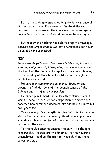But to those deeply entangled in material existence all this looked strange. They never understood the real purpose of the message. They only saw the messenger's human form and could and would not want to see beyond it.

But nobody and nothing was able to stop the message, because the Imperishable, Majestic Awareness can never be seized nor suppressed.

## **(25)**

In new words (different from the clichés and phrases of existing religions and philosophies) the messenger spoke the heart of the Sublime. He spoke of imperishableness, of the validity of the eternal. Light spoke through him and his voice carried life.

He gave man comprehension, mercy, freedom and strength of mind, - born of the boundlessness of the Sublime and its infinite compassion.

He ended punishment and misery that clouded man's vision, - because man needed compassion far more than penalty since error had deceived him and bound him to his own ignorance.

The messenger's strength dissolved all this. He demonstrated error's plain irrelevancy, its utter unimportance, - he showed how error faded to insignificance before perception of the Grand.

To the misled ones he became the path, - to the ignorant insight, - to seekers the finding, - to the wavering staunchness, - and purification to those thinking themselves unclean.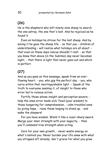#### **(26)**

He is the shepherd who left ninety-nine sheep to search the one astray, the one that's lost. And he rejoiced as he found it.

Even on holidays he strove for the lost sheep. And by saving it he gave the sheep life; - so that you – children of understanding – will realize what holidays are all about: that even on these days rescue shouldn't rest; - so that you know that above (in the Sublime) day never becomes night, - that there is light that never goes out and which is perfect.

## **(27)**

And as you pass on this message, speak from an overflowing heart, - you, who are the perfect day, - you, who carry within that inextinguishable light. – Speak of the truth to everyone seeking it, of insight to those who error led to ruinous action.

Fortify those whose insight and perception wavers, help the ones error made sick. Feed (your wisdom) to those hungering for comprehension, - calm troubled ones by giving hope, - raise those longing to stand up, - and wake the sleepers!

For you have wisdom. Wield it like a razor-sharp sword. Merge your inner strength with your sagacity, - then you'll command true strength when acting.

Care for your own growth, - never waste energy on what's behind you. Never burden your life anew with what you stripped off already, don't grieve for what you grew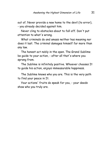out of. Never provide a new home to the devil (to error), - you already decided against him.

Never cling to obstacles about to fall off. Don't put attention to what's wrong.

What criminals do and amass neither has meaning nor does it last. The criminal damages himself far more than any law.

The honest act nobly in the open. The Grand Sublime be guide to your action, - after all that's where you sprang from.

The Sublime is infinitely positive. Whoever chooses It to guide his action, enjoys immeasurable happiness.

The Sublime knows who you are. This is the very path to find your peace in It.

Your actions' fruits do speak for you, - your deeds show who you truly are.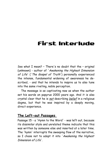# **First Interlude**

See what I mean? – There's no doubt that the – original (unknown) - author of 'Awakening the Highest Dimension of Life' ('The Gospel of Truth') personally experienced the intense, fundamental widening of awareness he described, - and that he intends to inspire us to also tune into the same riveting, noble perception.

The message is as captivating now as when the author set his words on papyrus 2000 years ago. And it is also crystal clear that he is not describing belief in a religious dogma, but that he was inspired by a deeply moving, direct experience.

# **The Left-out Passages**

Passage 15 - a 'Hymn to the Word' - was left out, because its dissimilar style and unrelated theme indicate that this was written by someone else and inserted at a later time. The 'hymn' interrupts the sweeping flow of the narrative, so I chose not to adopt it into 'Awakening the Highest Dimension of Life'.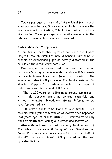Twelve passages at the end of the original text repeat what was said before. Since my main aim is to convey the text's original fascination, I left them out not to bore the reader. These passages are readily available in the internet to research, if you are interested.

# **Tales Around Campfires**

A few simple facts shed light on how all these superb insights into an exquisite new dimension humankind is capable of experiencing got so heavily distorted in the course of the initial, early centuries.

Few people are aware that the first and second century AD is highly undocumented. Only small fragments and single leaves have been found that relate to the events in Judea 2000 years ago. The first consistent 39 sheets – 'Papyrus 66', containing much of the gospel of John – were written around 200 AD only. -

- That's 200 years of telling tales around campfires, with little documentation, no printed materials and without the instant broadband internet information we take for granted now.

Just relate these time-spans to our times: - How reliable would you deem stories of events that happened 200 years ago (at around 1810 AD) - related to you by word of mouth only, lacking all further documentation.

Also quite unknown is that the very first version of The Bible as we know it today (Codex Sinaiticus and Codex Vaticanus), was only compiled in the first half of the  $4<sup>th</sup>$  century - almost 300 years after the last eyewitnesses died.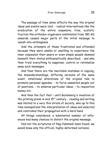The passage of time alone affects the way the original ideas and events were told, - radical interventions like the eradication of the entire expansive, free, ecstatic fraction the orthodox organizers annihilated from 180 AD onwards caused major parts of the initial message to vanish into nothingness.

Add the attempts of those frustrated and offended because they were unable or unwilling to experience the inner expansion their peers or even simple people deemed beneath their status enthusiastically described, - and who then tried everything to suppress, control or rationalize away such messages.

And then there are the inevitable mistakes in copying, the misunderstandings, differing versions of the same event, intentional alterations of the original tale to promote personal agendas, - to force unwanted people out of positions, - to endorse particular ideas, – to requisition money etc.

And then the fact that – until Gutenberg's invention of the printing press in mid  $15<sup>th</sup>$  century - reading and writing was limited to a very thin strata of society, who up to this time monopolized the interpretation of ideas and selected and controlled their propagation with a hard hand.

All things considered, a substantial number of influences had many chances to distort the original message.

Had not the scriptures of Nag Hammadi been found, we would know only the official, highly deformed versions.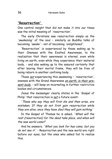# **' Resurrection'**

One central insight that did not make it into our times was the initial meaning of 'resurrection'.

The early Christians saw resurrection simply as the 'awakening' of the soul - similarly as Buddha talks of becoming 'awake' - not of becoming 'enlightened'.

'Resurrection' is experienced by those waking up to their Oneness with the Exalted Awareness, to the realization that their awareness is eternal, even while living on earth, even while they experience their material body, - and also waking up to the assured certainty that after leaving their mortal frame, they will be free of being reborn in another confining body.

Those not experiencing this awakening - 'resurrection', oneness with the Grand Awareness on earth, in their present body, - will keep on incarnating in further restrictive bodies and circumstances.

Jesus the messenger clearly states in the 'Gospel of Philip' that resurrection is not a future event:

'Those who say they will first die and then arise, are mistaken. If they do not first gain resurrection while they are alive, once they have died they will gain nothing.'

In the Gospel of Thomas he is asked, 'When will the rest (resurrection) for the dead take place, and when will the new world come?'

And he answers, 'What you look for has come, but you do not see it.' - Resurrection and the new world are right before our eyes, but the ones who asked fail to realize this.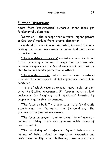#### **Further Distortions**

Apart from 'resurrection' numerous other ideas got fundamentally distorted:

'Salvation' - the concept that external higher powers or God 'save' mankind from 'eternal damnation' –

- instead of man – in a self-initiated, inspired fashion finding the Grand Awareness he never lost and always carries within.

 'The investiture of priests' versed in clever speak and formal ceremony - instead of inspiration by those who personally experience the Grand Awareness, and thus are able to awaken similar perception in others.

'The invention of sin' – which does not exist in nature; - nor do the counterparts of sin: repentance, confession, penitence, -

- none of which make us expand, more noble, or perceive the Exalted Awareness. Sin forever makes us look backwards for imaginary past 'mistakes' invented by people with quite sinister agendas.

'The focus on belief' – a poor substitute for directly experiencing the Fantastic, the Extraordinary, the Ecstasy of the Exalted Awareness.

'The focus on prayer' to an external 'higher' agency instead of rising to our own immense, noble power of creating within.

'The idealizing of conformist "good" behaviour' instead of being guided by inspiration, expansion and one's inner nobility, - and challenging those who enforce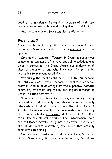docility, restriction and formalism because of their own petty personal interests, - and telling them to get lost.

And these are only a few examples of distortions.

# **Gnosticism ?**

Some people might say that what the ancient text contains is Gnosticism. - But I utterly *disagree* with this opinion.

Originally a 'Gnostic' ('knower' in Greek language) was someone in command of a very special knowledge, who directly perceived the Grand Awareness underlying all physical experience, and who knew such insight to be accessible to everyone at all times.

Yet during the second century AD 'Gnosticism' became an artificial classification, became a label the orthodox fraction used to first categorize the expansive, ecstatic community of people inspired by the original message of Jesus – to then destroy it.

Gnosticism – as it is defined today, - is merely a hazy image of what it originally was. This is because the only information about it – apart from the Nag Hammadi scrolls – stems exclusively from documentation written by those who actually eradicated it (Irenaeus, Tertullian etc.). How reliable would you consider information about the resistance movement against a dictator, if it relied only on documents written by the police that actually annihilated this rising.

No, this text is not about lifeless, scholarly, footnoteridden Gnosticism, this text carries a long forgotten,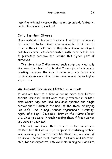inspiring, original message that opens up untold, fantastic, noble dimensions to mankind.

# **Onto Further Shores**

Now - instead of trying to 'resurrect' information long so distorted as to be almost unrecognizable, let's turn to other cultures – let's see if they show similar messages, possibly clearer, less deteriorated, with more details how to purposely perceive and realize this higher part of ourselves.

The story how I discovered such scripture – actually the very first text of this kind I ever found – is worth relating, because the way it came into my focus was bizarre, spans more than three decades and defies logical explanation.

# **An Ancient Treasure Hidden in a Book**

It was way back at a time where no more than fifteen serious 'spiritual' books were readily available in print; a time where only one local bookshop sported one single narrow shelf hidden in the back of the store, displaying Lao Tse's 'Tao Te King', Seneca, Yogananda's 'Autobiography of a Yogi', Govinda's 'Way of the White Clouds' etc. Once you were through reading these fifteen works, you were on your own.

Oh yes, we knew that ancient Indian scriptures existed, but this was a huge complex of confusing archaic lore seemingly without discernible structure. And even if we knew a certain book existed, it usually was unobtainable, far too expensive, only available in original Sanskrit,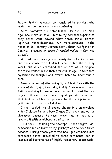Pali, or Prakrit language, or translated by scholars who made their contents even more confusing.

Sure, nowadays a quarter-million 'spiritual' or 'New Age' books are on sale, - but to my personal experience they never went beyond what these initial fifteen 'spiritual' works described. – Or – more sarcastic – in the words of 18<sup>th</sup> century German poet Johann Wolfgang von Goethe: 'Stepping on quark (twaddle) makes it flat, not strong'.

At that time – my age was twenty-two - I came across one book whose title I don't recall after these many years, but which contained the reprint of an original scripture written more than a millennium ago – a text that mystified me though I was utterly unable to understand it then.

Now, - instead of discarding it, as I had done with the works of Gurdijeff, Blavatsky, Rudolf Steiner and others, I did something I'd never done before: I copied the few pages of this scripture. Since copy-shops didn't exist yet, this took an elaborate journey to the company of a girlfriend's father to get it done.

I then sealed the 12 copied sheets into an envelope which I placed inside a book I knew I'd never lend out or give away, because the – well-known - author had autographed it with an elaborate dedication.

This book – including the envelope I soon forgot – accompanied me on many of my journeys of the next three decades. During these years the book got crammed into cardboard boxes, travelled to three continents, sat on improvised bookshelves of highly temporary accommoda-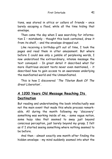tions, was stored in attics or cellars of friends – once barely escaping a flood, while all the time hiding that envelope.

Then came the day when I was searching for information I – mistakenly - thought this book contained, drew it from its shelf, - and the envelope dropped out.

Like receiving a birthday-gift out of time, I took the pages and read them in utter amazement. But where before I could see only a jumble of perplexing words, I now understood the extraordinary, intense message the text conveyed: - In great detail it described what far more illustrious ancient texts never even mentioned, - it described how to gain access to an awareness underlying the manifested world and the Unmanifested.

This is how I discovered 'The Tibetan Book Of The Great Liberation'.

# **A 1200 Years Old Message Reaching Its Destination**

But reading and understanding the book intellectually was not the main event that made this whole process remarkable. All during the month following my 'discovery' something was working inside of me, - some vague notion, some hazy idea that seemed to sway just beyond conscious perception, just barely beyond my grasp. I felt as if I started seeing something where nothing seemed to be before.

And then - almost exactly one month after finding the hidden envelope - my mind suddenly zoomed into what the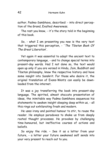author, Padma-Sambhava, described: - into direct perception of the Grand, Exalted Awareness.

The rest you know, - it's the story told in the beginning of this book.

So, - what I am presenting you now is the very text that triggered this perception, - 'The Tibetan Book Of The Great Liberation'.

Yet again it was essential to adopt the ancient text to contemporary language, - and to change special terms into present-day words. Had I not done so, the text would open up only if you are versed in Hindu, Jain, Buddhist and Tibetan philosophy, know the respective history and have some insight into Sanskrit. For those who desire it, the original translation of Evans-Wentz can easily be downloaded from the internet.

It was a joy transferring the book into present-day language. The spirited, almost staccato presentation of ideas, the inimitable way Padma-Sambhava sequences his statements to awaken insight sleeping deep within us, - all this rings out exhilarating fresh and modern.

He uses irony and pointed humour to stir, to rouse the reader. He employs paradoxes to shake us from deeply rooted thought processes. He provokes by challenging time-honoured, but ineffective courses of actions and beliefs.

So enjoy the ride. – See it as a letter from your future, - a letter your future awakened self sends into your very present to reach out to you.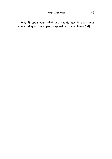May it open your mind and heart, may it open your whole being to this superb expansion of your inner Self.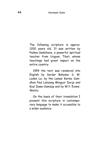The following scripture is approx. 1200 years old. It was written by Padma-Sambhava, a powerful spiritual teacher from Urgyan, Tibet, whose teachings had great impact on the entire country.

1954 the text was rendered into English by Sardar Bahadur S. W. Laden La, by the Lamas Karma Sumdhon Paul Lobzang Mingyur Dorje and Kazi Dawa-Samdup and by W.Y. Evans-Wentz.

On the basis of their translation I present this scripture in contemporary language to make it accessible to a wider audience.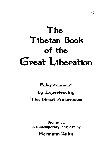# The Tibetan Book of the Great Liberation

Enlightenment by Experiencing The Great Awareness

Presented in contemporary language by Hermann Kuhn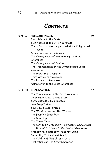# **CONTENTS**

| Part |                                                            | 49 |
|------|------------------------------------------------------------|----|
|      | First Advice to the Seeker                                 |    |
|      | Significance of the ONE Awareness                          |    |
|      | These Instructions complete What the Enlightened<br>Taught |    |
|      | Second Advice to the Seeker                                |    |
|      | The Consequences of Not Knowing the Great                  |    |
|      | Awareness                                                  |    |
|      | The Consequences of Desires                                |    |
|      | The Transcendence of the Unmanifested Great                |    |
|      | Awareness                                                  |    |
|      | The Great Self-Liberation                                  |    |
|      | Third Advice to the Seeker                                 |    |
|      | The Nature of Awareness                                    |    |
|      | Names given to the Great Awareness                         |    |
|      | 77 1 TTALI                                                 |    |

#### **Part II REALIZATION** ......................................................... **57**

The Timelessness of the Great Awareness Consciousness in Its True State Consciousness is Non-Created Look Deep Inside Your Life's Deep Purpose The Wondrousness of This Wisdom The Fourfold Great Path The Great Light The Three Times The Path to Enlightenment - Connecting Our Current State of Existence to the Exalted Awareness Freedom From Eternally Transitory Aims Connecting To the Great Reality The Validity of Mental Constructs Realization and The Great Liberation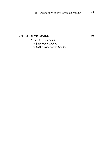#### **Part III CONCLUSION** ........................................................... **79**

General Instructions The Final Good Wishes The Last Advice to the Seeker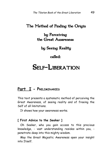# The Method of Finding the Origin

# by Perceiving the Great Awareness

by Seeing Reality

called:

# SELF-LIBERATION

# **Part I - PRELIMINARIES**

This text presents a systematic method of perceiving the Great Awareness, of seeing reality and of freeing the Self of all limitations.

It shows how your awareness works.

#### **[ First Advice to the Seeker ]**

Oh Seeker, who you gain access to this precious knowledge, - vast understanding resides within you, penetrate deep into this mighty wisdom.

May the Great Majestic Awareness open your insight into Itself.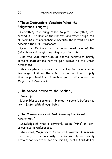# **[ These Instructions Complete What the Enlightened Taught ]**

Everything the enlightened taught, - everything recorded in 'The Door of the Dharma' and other scriptures, all remains incomprehensible because these texts do not describe the ONE Awareness.

Even the Tirthankaras, the enlightened ones of the Jains, have not taught anything regarding this.

And the vast multitude of sacred scriptures barely contains instructions how to gain access to the Great Awareness.

This scripture provides the true key to these eternal teachings. It shows the effective method how to apply them in practical life. It enables you to experience this Magnificent Awareness.

# **[ The Second Advice to the Seeker ]**

Wake up !

Listen blessed seekers ! - Highest wisdom is before you now. - Listen with all your being !

## **[ The Consequences of Not Knowing the Great Awareness ]**

Knowledge of what is commonly called 'mind' or 'consciousness' is widespread.

The Great, Magnificent Awareness however is unknown, - or thought of erroneously, - or known only one-sidedly without consideration for the missing parts. Thus desire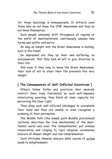for these teachings is immeasurable. It attracts even those who do not know the ONE Awareness and thus do not know themselves.

Such people aimlessly drift throughout all regions of the world of manifestations, continuously assume new forms and suffer and worry.

As long as insight into the Great Awareness is lacking, such is the result.

So impressed are they by their own suffering, so overpowered, that they lack all will to give direction to their life.

And even if they long to know the Great Awareness, their lack of will to steer their life prevents this very insight.

#### **[ The Consequences of Self-Inflicted Asceticism ]**

Others follow faiths and practices that severely restrict their lives. Fascinated by such self-imposed, intoxicating yearning, they block all inner capacity for perceiving the Clear Light.

They allow such self-inflicted blockages to overwhelm their mind and thus are unable to even recognize a widening of their perception.

The Middle Path (the simple path Buddha proclaimed) certainly describes the true mechanisms of the manifested world and even The Unmanifested, yet aimless renunciation and clinging to rigid religious ceremonies obscure all deeper insight and real comprehension.

Such attitudes likewise obscure what course of action leads to enlightenment.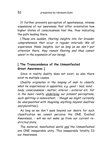It further prevents perception of spontaneous, intense expansions of our awareness that offer orientation how higher states of consciousness feel like, thus indicating the path leading there.

(These are sudden, fleeting insights into far broader comprehension that occur in regular intervals. We all experience these insights, but as long as we don't put attention there, they remain fleeting and thus cannot assist in the expansion of our being).

#### **[ The Transcendence of the Unmanifested Great Awareness ]**

Since in reality duality does not exist, so also there exist no multiple causes.

(Duality originates in the longing of man to classify what he experiences in opposites, e.g. good - bad, mind body, consciousness – matter, interior – exterior etc. Yet in the basic reality *underlying* our present perceptions, such splitting is nonexistent, - though we might currently be unacquainted with imagining anything beyond dualities and pluralities.)

As long as we don't pass beyond our desire for such classification we cannot perceive the ONE, Exalted Awareness, – will we not wake up from our current restricted state.

The material, manifested world and the Unmanifested are ONE inseparable unity. This inseparable totality IS our Awareness.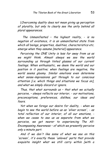(Overcoming duality does not mean giving up perception of plurality, but only to clearly see the unity behind all plural appearances.

 The Unmanifested – the highest reality, - is no negation of existence, it is an unmanifested state from which all beings, properties, dualities, characteristics etc. emerge when they assume [material] appearance.

Perceiving the ONE Unity is less far away from us as we might think. Almost always we see the world surrounding us through tinted glasses of our current feelings. When enthusiastic, we deem the world and our position in it positive; when feelings are negative, the world seems gloomy. Similar emotions even determine what sense-impressions get through to our conscious attention [i.e. which things and situations we focus on], and what we simply discard or ignore.

Thus, that what surrounds us – that what we actually perceive, – always reflects our interior, - our motivations, preconceptions, preferences, dislikes, our ideas and fears.

Yet when we forego our desire for duality, - when we begin to see the world before us as 'silver screen', - as total reflection of our interior, of all our emotions, when we cease to see us as separate from what we perceive, we get nearer to experiencing The All-Encompassing Awareness – of which we presently perceive only a minute part.

And if we don't like some of what we see on this 'screen', it's exactly these 'unloved' parts that provide exquisite insight what we still carry within [with a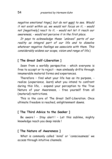negative emotional tinge], but do not want to see. Would it not exist within us, we would not focus on it, - would not [negatively] react to it, - would not let it reach our awareness, - would not perceive it in the first place.

It pays to acknowledge these 'unloved' parts of our reality as integral part of our life and to dissolve whatever negative feelings we associate with them. This considerably widens our scope, vision and range of life.)

#### **[ The Great Self-Liberation ]**

Seen from a worldly perspective - which everyone is free to accept or to reject - man aimlessly drifts through innumerable material forms and experiences.

Therefore – find what your life has as its purpose, realize (experience, learn) what you intend to confront during this life, - expand your perception to the True Nature of your Awareness, - free yourself from all (*material*) restrictions.

This is the core of The Great Self-Liberation. Once ultimate freedom is reached, enlightenment dawns.

#### **[ The Third Advice to the Seeker ]**

Be aware ! - Stay alert ! – Let this sublime, mighty knowledge reach you deep inside !

#### **[ The Nature of Awareness ]**

What is commonly called 'mind' or 'consciousness' we access through intuitive channels.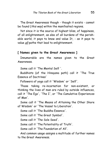The Great Awareness though - though it exists - cannot be found (*this way*) within the manifested regions.

Yet since it is the source of highest bliss, of happiness, of all enlightenment, as also of all burdens of the perishable world, it pays to know and value It, - as it pays to value *all* paths that lead to enlightenment.

#### **[ Names given to the Great Awareness ]**

Innumerable are the names given to the Great Awareness.

Some call it 'The Mental Self '.

Buddhists (of the Hinayana path) call it 'The True Essence of Doctrines'

Followers of yoga call it 'Wisdom' or 'Self'.

Those taking re-incarnation for non-existent, or thinking the lives of man are ruled by outside influences, call it 'The Ego', 'The I', or 'The Cumulative Experiences of Man'.

Some call it 'The Means of Attaining the Other Shore of Wisdom' or 'The Vessel to Liberation'.

Some call it 'The Buddha Essence'.

Some call it 'The Great Symbol'.

Some call it 'The Sole Seed'.

Some call it 'The Potentiality of Truth'.

Some call it 'The Foundation of All'.

And common usage assigns a multitude of further names to the Great Awareness.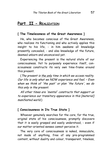# **Part II - REALIZATION**

#### **[ The Timelessness of the Great Awareness ]**

He, who becomes conscious of the Great Awareness, who realizes its functioning and who actively applies this insight to his life, - in him awakens all knowledge presently concealed, - and also knowledge of the future, deemed unborn and unconceived yet.

Experiencing the present is the natural state of our consciousness. Yet to purposely experience itself, consciousness constructs its very own time-frame around this present.

(The present is the only time in which we access reality. Our life is only what we NOW experience and feel. – Even when we think of 'the past' or plan 'the future', we do this only in the present.

All other times are 'mental' constructs that support us to experience our transitory appearance in this [material] manifested world.)

#### **[ Consciousness in Its True State ]**

Whoever genuinely searches for the core, for the true, original state of his consciousness, promptly discovers that it is easily grasped and easily understood, - even if our matter-oriented senses cannot perceive it.

The very core of consciousness is naked, immaculate, not made of anything, free of any pre-programmed content, without duality and colour, transparent, timeless,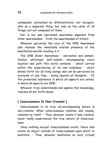unimpeded, untouched by differentiation, not recognizable as a separate thing, but only as the unity of all things, yet not composed of them.

Nor is our own (personal) awareness separate from other awarenesses, - from the awarenesses of others.

Whoever perceives the core of the ONE Awareness also realizes the immutable eternal presence of the manifested worlds residing in it.

The ONE Great Awareness – uncreated and unmanifested, unformed, self-radiant, encompassing every location and path this world contains, - which carries within the experiencing of its own wideness, - which shines forth for all living beings and can be perceived by everyone at any time, - being beyond all thoughts, - IS the primordial substance in which all aspects are united, in which all aspects are ONE.

Whoever truly understands and applies this knowledge, realizes all set forth above.

#### **[ Consciousness Is Non-Created ]**

Consciousness in its true, all-encompassing nature is non-created. What consciousness radiates and causes, radiates by itself. – Thus, whoever claims it was created, never really experienced the true nature of Consciousness.

Since nothing except Consciousness exists, there also exists no object outside of Consciousness upon which to meditate. - Thus, whoever meditates on such (irreal)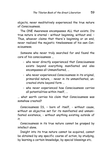objects, never meditatively experienced the true nature of Consciousness.

The ONE Awareness encompasses ALL that exists. Its true nature is eternal – without beginning, without end. – Thus, whoever claims that there's beginning or an end, never realized the majestic timelessness of his own Consciousness.

Someone who never truly searched for and found the core of his consciousness ...

- who never directly experienced that Consciousness exists beyond everything manifested and also encompasses all Unmanifested, …
- who never experienced Consciousness in its original, primordial nature, - never in its unmanifested, uncreated state beyond form …
- who never experienced how Consciousness carries all potentialities within itself, …

… what worth carries his claim that Consciousness was somehow created?

Consciousness IS, – born of itself, - without cause, without an objective set for its manifested and unmanifested existence, - without anything existing outside of it.

Consciousness in its true nature cannot be grasped by intellect alone.

Insight into its true nature cannot be acquired, cannot be obtained by any specific course of action, by studying, by learning a certain knowledge, by special blessings etc.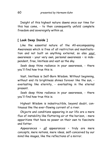Insight of this highest nature dawns once our time for this has come, - to then consequently unfold complete freedom and sovereignty within us.

#### **[ Look Deep Inside ]**

Like the essential nature of the All-encompassing Awareness which is free of all restriction and manifestation and not built on anything external, so also your awareness – your very own, personal awareness – is independent, free, limitless and vast as the sky.

Seek deep thine radiance in your awareness, - there you'll find how true this is.

Vast, limitless is Self-Born Wisdom. Without beginning, without end its brightness shines forever like the sun, everlasting like eternity, - everlasting in the eternal present.

Seek deep thine radiance in your awareness, - there you'll find how true this is.

Highest Wisdom is indestructible, beyond doubt, continuous like the ever-flowing current of a river.

Objects und conditions appearing in our life are a mere flux of instability like fluttering air at the horizon, - mere apparitions that have no power on their own to fascinate and fetter.

Appearances - all appearances - truly are mere concepts, mere notions, mere ideas, self-conceived by our mind like images, like the reflections of a mirror.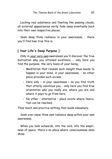Lacking real substance and fleeting like passing clouds, all external appearances verily fade away eventually back into their own respective places.

Seek deep thine radiance in your awareness, - there you'll find how true this is.

#### **[ Your Life's Deep Purpose ]**

Only in your very own awareness you'll discover the true motivation why you attained existence, - only here you find the purpose, the very basis of your being.

- Meditation that reveals such insight thus needs to happen in your mind, in your awareness, - no other place provides such access
- Here only in your awareness do you find truth that utterly convinces you, - only here you find true orientation who you really are, where you are and where it pays to go from here
- No other alternative place exists where liberation can be reached.

Thus teach and practice nothing that leads elsewhere.

Seek ever anew thine own radiance deep within your own awareness.

When you look outwards, into the void, into the emptiness of space, there's no place where consciousness does shine.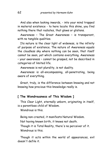And also when looking inwards, - into your mind trapped in material existence - to here locate this shine, you find nothing there that radiates, that glows or glistens.

Awareness – The Great Awareness – is transparent, with no tangible qualities.

Its nature is the clear light of wideness, is the infinity of purpose of existence. The nature of Awareness equals the cloudless sky where nothing can be seen, that itself cannot be seen, yet which contains everything. Awareness – your awareness – cannot be grasped, not be described in categories of limited life.

Awareness is not plurality, is not duality.

Awareness is all-encompassing, all-penetrating, being aware of everything.

Great, truly, is the difference between knowing and not knowing how precious this knowledge really is.

#### **[ The Wondrousness of This Wisdom ]**

This Clear Light, eternally unborn, originating in itself, is a parentless child of Wisdom.

Wondrous is this

Being non-created, it manifests Natural Wisdom.

Not having known birth, it knows not death.

Though it is Total Reality, there's no perceiver of it. Wondrous is this.

Though it acts within the world of appearances, evil doesn't defile it.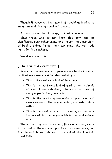Though it perceives the import of teachings leading to enlightenment, it stays unallied to good.

Although owned by all beings, it is not recognized.

Thus those who do not know this path and its significance seek other gains. And though the Clear Light of Reality shines inside their own mind, the multitude hunts for it elsewhere.

Wondrous is all this.

# **[ The Fourfold Great Path ]**

Treasure this wisdom, - it opens access to the invisible, brilliant Awareness residing deep within you.

- This is the most excellent of teachings.
- This is the most excellent of meditations, devoid of mental concentration, all-embracing, free of every imperfection, complete.
- This is the most comprehensive of practices, it makes aware of the unmanifested, uncreated state within.
- This is the most excellent of results, it awakens the incredible, the unimaginable in the most natural way.

These four components – clear, flawless wisdom, meditation that's all-embracing, practice that never errs, and The Incredible as outcome – are called the Fourfold Great Path.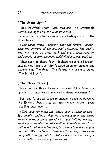#### **[ The Great Light ]**

This Fourfold Great Path awakens The Immutable Continuous Light of Clear Wisdom within -

- which unfurls before us all-penetrating vision of the three times.

(The three times - present, past and future – encompass the entirety of our material existence. The clarity that now opens satisfies each and every open question and completes any remaining unfulfilled material desire.)

Thus each of these four – highest wisdom, all-encompassing meditation, activity focused on enlightenment, and experiencing The Great, The Fantastic – are also called 'The Great Light'.

#### **[ The Three Times ]**

How do the three times – our material existence – appear to us once we experience the Great Awareness?

Past and future we cease to engage in once we perceive the Exalted Awareness; we intentionally abstain from recalling 'past' events.

(This does not mean that these events cease to exist. We simply condense what we experienced in the three times - in the material world - into one holistic insight, similarly as we also do not recall each single move of our childhood that trained us to effectively steer our body as an adult. We condensed these particular experiences of our youth into one holistic skill we now – as a grown up proficiently access at any time we want.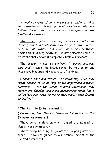A similar process of our consciousness condenses what we experienced during material existence into one holistic insight that enriches our perception in the Exalted Awareness.)

The future - (which – in reality - is a mere mixture of desires, fears and anticipation we project onto a virtual place we call 'future', but which has no real existence beyond these moody emotions) - is not welcomed and thus we intentionally sever it completely from our present.

The present – (as we confront it during material existence) – cannot be fixed, cannot be held on to, and thus stays in a state of vagueness, of voidness.

(Present, past and future – as universally valid they might appear to us as long as we experience material existence, - for the Great, Exalted Awareness they merely are facades, are mere appearances laying like a veil before our vision, having no more reality than dreams or illusions.)

#### **[ The Path to Enlightenment ]**

#### **[ Connecting Our Current State of Existence to the Exalted Awareness ]**

There being no thing on which to meditate, no meditation is there whatsoever.

There being no thing to go astray, no going astray is there, - if we are guided by our archaic imprint of the Exalted Awareness.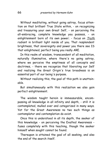Without meditating, without going astray, focus attention on that brilliant True State within, - on recognizing and treasuring your own Great Self, - on perceiving the all-embracing, complete knowledge you possess, - on enlightenment born of its own power; - focus on Truth radiant in brilliant light inside of you. That resplendent brightness, that sovereignty and power you there see IS that enlightened, perfect being you really ARE.

In this realm of wisdom, transcendent of all meditation, naturally illuminative, where there's no going astray, where we perceive the emptiness of all concepts and doctrines, - there we recognize that liberating our Self and realizing the Great Origin's true broadness is an essential part of our being's purpose.

Without realizing this, the goal of this path is unattainable.

But simultaneously with this realization we also gain perfect enlightenment.

The wisdom taught herein is immeasurable, encompassing all knowledge in all infinity and depth, - still it is contemplated, mulled over and categorized in many ways. Yet for the Great Awareness no two such things as contemplator and contemplation do exist.

Once this is understood in all its depth, the seeker of this knowledge - on perceiving the Exalted Awareness fuses completely with this teaching, though the seeker himself when sought cannot be found.

Thereupon is attained the goal of all seeking, and also the end of the search itself.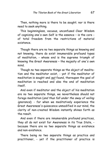Then, nothing more is there to be sought; nor is there need to seek anything.

This beginningless, vacuous, unconfused Clear Wisdom of cognizing one's own Self is the essence – is the core of total freedom from the restrictions of material existence.

Though there are no two separate things as knowing and not knowing, there do exist innumerable profound types of meditation, - whose end is the supreme triumph of knowing the Great Awareness – the majesty of one's own mind.

Though no two separate things as the object of meditation and the meditator exist, - yet if the meditator of meditation is sought and not found, thereupon the goal of meditation is reached and also the end of meditation itself.

And even if meditator and the object of his meditation are no two separate things, we nevertheless should not forego meditation (and thus fall under the sway of veiling ignorance); - for when we meditatively experience the Great Awareness's quiescence unmodified in our mind, the clarity of non-created Wisdom instantly shines forth as the result.

And even if there are innumerable profound practices, they all do not exist for Awareness in its True State, because there are no two separate things as existence and non-existence.

There being no two separate things as practice and practitioner, - yet if the practitioner of practice is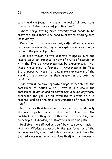sought and not found, thereupon the goal of all practice is reached and also the end of practice itself.

There being nothing since eternity that needs to be practiced, thus there's no need to practice anything that leads astray.

Perception of the non-created, self-radiant Wisdom actionless, immaculate, beyond acceptance or rejection, is itself the perfect practice.

And even though no two separate things as pure and impure exist, an immense variety of fruits of association with the Exalted Awareness can be experienced; - yet those whose mind is founded in Awareness in its True State, perceive these fruits as mere expressions of the world of appearances in their unmanifested, potential condition.

And even if no two separate things as action and the performer of action exist, - yet if one seeks the performer of action and no performer is found anywhere, thereupon the goal of all attempts to obtain fruit is reached, and also the final consummation of these fruits itself.

No other method to obtain this special fruit exists, only the one depicted here, - thus don't allow that the dualities of trusting and distrusting, of accepting and rejecting this knowledge distract you from this path.

Realizing the self-radiant, self-born Wisdom, - insight that this Wisdom expresses in the manifestation of the material worlds, - and that this all springs forth from the Exalted Awareness which cognizes itself in this process, -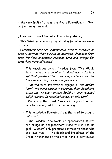is the very fruit of attaining ultimate liberation, - is final, perfect enlightenment.

#### **[ Freedom From Eternally Transitory Aims ]**

This Wisdom releases from striving for aims we never can reach.

(Transitory aims are unattainable, even if tradition or society defines their pursuit as desirable. Freedom from such fruitless endeavour releases time and energy for something more effective.)

- This knowledge brings freedom from 'The Middle Path' (which – according to Buddhism - fosters spiritual growth without requiring austere activities like renunciation, asceticism, penance etc.

Yet the more one tries to engage in 'The Middle Path', the more elusive it becomes. Even Buddhists state that no one – except Buddha – ever reached enlightenment [awakening] by way of this path.)

Perceiving the Great Awareness requires no austere behaviour, but IS the awakening.

- This knowledge liberates from the need to acquire 'Wisdom'.

The 'wisdom' the world of appearances strives for brings no enlightenment since this is not its goal. 'Wisdom' only produces contrast to those who are 'less wise'. – The depth and broadness of the Great Awareness on the other hand is continuous,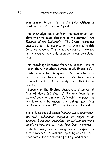ever-present in our life, - and unfolds without us needing to acquire 'wisdom' first.

- This knowledge liberates from the need to contemplate the five basic elements of the cosmos ('The Essence of the Buddhas'). – The Great Awareness encapsulates this essence in its unlimited width. Once we perceive This, whatever basics there are in the cosmos inevitably open up to our consciousness.
- This knowledge liberates from any search 'How to Reach The Other Shore Beyond Bodily Existence'.

Whatever effort is spent to find knowledge of our existence beyond our bodily form never achieves the longed for clarity about this special crossing.

Perceiving The Exalted Awareness dissolves all fear of dying (all fear of the transition to an altered type of experience). Would the power of this knowledge be known to all beings, much fear and insecurity would lift from the material world.

- Similarly no special action (renunciation, asceticism, spiritual techniques, religious or magic rites, prayers, blessings, cleansings, or strictly obeying a guru's instructions etc.) can 'Free Our Awareness'.

Those having reached enlightenment experience that Awareness IS without beginning or end, - thus what particular action could possibly lead there?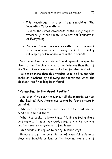- This knowledge liberates from searching 'The Foundation Of Everything'.

Since the Great Awareness continuously expands dynamically, there simply is no (static) 'Foundation Of Everything'.

- 'Common Sense' only occurs within the framework of material existence. Striving for such rationality will keep a person locked within these bounds.

Yet regardless what elegant and splendid names be given to fleeting aims, - what other Wisdom than that of the Great Awareness do we really long for deep inside?

To desire more than this Wisdom is to be like one who seeks an elephant by following its footprints, when the elephant itself has long been found.

#### **[ Connecting to the Great Reality ]**

And even if we seek throughout all the material worlds, - the Exalted, Pure Awareness cannot be found except in our mind.

Who does not know this and seeks the Self outside his mind won't find it there.

Who thus seeks to know himself is like a fool giving a performance in midst a crowd, forgets who he really is and then seeks everywhere to find himself.

This simile also applies to erring in other ways.

Release from the constriction of material existence stays unattainable as long as the true natural state of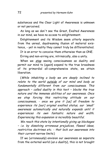substances and the Clear Light of Awareness is unknown or not perceived.

As long as we don't see the Great, Exalted Awareness in our mind, we have no access to enlightenment.

Enlightenment and its Wisdom seem utterly separate from the unreal, daydreaming illusion of material existence, - yet in reality they cannot truly be differentiated.

It is an error to conceive them otherwise than as ONE.

Erring and non-erring are, intrinsically, also a unity.

When we stop seeing consciousness as duality and permit our mind to (*again*) expand to the true broadness of its primordial all-comprehensive state, we attain liberation.

(While inhabiting <sup>a</sup> body we are deeply inclined to relate to the world outside of our mind and body as fundamentally different from our consciousness. This approach – called duality in this text – blocks the true nature and the immense abilities of our awareness. Once we stop forcing this restricting attitude on our consciousness, - once we give it [us] all freedom to experience its [our] original exalted status, our 'small' awareness automatically and naturally expands until it experiences its own fantastic nature and width. Experiencing this expansion is incredibly beautiful.

We reach this state by intentionally giving up blockages – i.e. by dissolving erroneous prejudices, flawed ideas, restrictive doctrines etc. - that lock our awareness into their current narrow limits.)

If we (erroneously) envision our awareness as separate from the external world (as a duality), this is not brought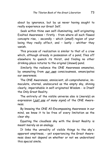about by ignorance, but by us never having sought to really experience our Great Self.

Seek within thine own self-illuminating, self-originating Exalted Awareness – firstly - from where all such flawed concepts rise, - secondly - which (small) region of your being they really affect, and – lastly - whither they vanish.

This process of realization is similar to that of a crow which, although already in possession of a pond, flies off elsewhere to quench its thirst, and finding no other drinking-place returns to the original (*known*) pond.

Similarly the radiance the ONE Awareness emanates, by emanating from our own consciousness, emancipates our awareness.

The ONE Awareness, omniscient, all-comprehensive, immaculate, eternal, unobscured as the empty sky, shining clearly, imperishable in self-originated Wisdom - is Itself the Only Great Reality.

The entirety of the visible universe also is (*merely*) an expression (just one of many signs) of the ONE Awareness.

By knowing the ONE All-Encompassing Awareness in our mind, we know it to be free of every limitation as the clear sky.

Equating the cloudless sky with the Great Reality is meant merely as an analogy.

It links the unreality of visible things to the sky's apparent emptiness, - yet experiencing the Great Awareness does not depend on whether or not we understand this special simile.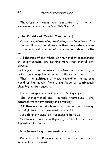Therefore – retain your perception of the All-Awareness – never stray from this Great Path.

#### **[ The Validity of Mental Constructs ]**

Concepts (philosophies, ideologies, belief-systems, dogmas) are all deceptive, illusory in their very nature, - none of them are real, - and all of them always fade out in the end.

All theories of the Whole, of the world of appearances, of enlightenment, are nothing more than mental constructs.

Changes in our sequence of ideas and views trigger respective changes in our vision of the external world.

Thus, the multitude of views regarding the material world spring merely from a multitude of continuously changing mental concepts.

Human beings conceive ideas in differing ways.

The unenlightened see - outside themselves - only external, transitory duality and diversity.

All theories and doctrines are always seen through tinted glasses of our own mental concepts.

As a thing is viewed, so it appears to be to us.

Yet to see things as multiplicity, and to cling onto such separateness, is to err.

Now follows insight how mental concepts work.

Perceiving the Radiance which shines without being seen, is Enlightenment.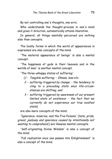By not controlling one's thoughts, one errs.

Who understands the thought-process in one's mind and gives it direction, automatically attains liberation.

In general, all things mentally perceived are nothing else than concepts.

The bodily forms in which the world of appearances is expressed are also concepts of the mind.

'The material appearance of beings' is also a mental concept.

'The happiness of gods in their heavens and in the worlds of men' is another mental concept.

'The three unhappy states of suffering'

- (1 Tangible suffering: Illness, loss etc.
- 2 suffering triggered by change: the tendency to cling to a preceding state once life-circumstances are shifting, and
- 3 suffering triggered by awareness of our present limited state of existence: - the fact that we currently do not experience our true exalted state)

are also mere concepts of the mind.

'Ignorance, miseries, and the Five Poisons' (hate, pride, greed, jealousy and ignorance caused by intentionally not wanting to comprehend,) are likewise mental concepts.

'Self-originating Divine Wisdom' is also a concept of the mind.

'Full realization once one passes into Enlightenment' is also a concept of the mind.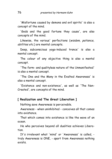'Misfortune caused by demons and evil spirits' is also a concept of the mind.

'Gods and the good fortune they cause', are also concepts of the mind.

Likewise, the various' perfections (wisdom, patience, abilities etc.) are mental concepts.

Deep, subconscious yoga-induced trance' is also a mental concept.

The colour of any objective thing is also a mental concept.

'The form- and qualityless nature of the Unmanifested' is also a mental concept.

'The One and the Many in the Exalted Awareness' is also a mental concept.

'Existence and non-existence', as well as 'The Non-Created', are concepts of the mind.

#### **[ Realization and The Great Liberation ]**

Nothing save Awareness is perceivable.

Awareness - when uninhibited - conceives all that comes into existence.

That which comes into existence is like the wave of an ocean.

He who perceives beyond all dualities achieves Liberation.

It's irrelevant what 'mind' or 'Awareness' is called, truly Awareness is ONE, - apart from Awareness nothing exists.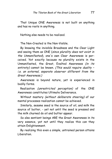That Unique ONE Awareness is not built on anything and has no roots in anything.

Nothing else needs to be realized.

The Non-Created is the Non-Visible.

By knowing the invisible Broadness and the Clear Light and seeing them as ONE (since plurality does not exist in the Unmanifested), one's own Clear Awareness is perceived. Yet exactly because no plurality exists in the Unmanifested, the Great, Exalted Awareness (in its entirety) cannot be known. (This would require duality i.e. an external, separate observer different from the Great Awareness.)

Awareness is beyond nature, yet is experienced in bodily forms.

Realization (unrestricted perception) of the ONE Awareness constitutes Ultimate Deliverance.

Without mastery (without deliberate steering) of our mental processes realization cannot be achieved.

Similarly, sesame seed is the source of oil, and milk the source of butter, - yet not until the seed is pressed and the milk churned do oil and butter appear.

So also sentient beings ARE the Great Awareness in its very essence, yet not until they realize this can they attain Enlightenment.

By realizing this even a simple, untrained person attains Liberation.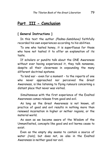# **Part III - Conclusion**

#### **[ General Instructions ]**

In this text the author (Padma-Sambhava) faithfully recorded his own experiences according to his abilities.

To one who tasted honey, it is superfluous for those who have not tasted it to offer an explanation of its taste.

If scholars or pundits talk about the ONE Awareness without ever having experienced it, they talk nonsense, despite all their cleverness in expounding the many different doctrinal systems.

To lend ear - even for a moment - to the reports of one who never approached nor perceived the Great Awareness, is like listening to flying rumours concerning a distant place that never was visited.

Simultaneous with the first experience of the Exalted Awareness comes release from good and evil.

As long as the Great Awareness is not known, all practice of good and evil results in nothing more than renewed incarnation in higher or nether regions, or the material world.

As soon as we become aware of the Wisdom of the Unmanifested, concepts like good and evil karma cease to exist.

Even as the empty sky seems to contain a source of water *(rain)*, but does not, so also in the Exalted Awareness is neither good nor evil.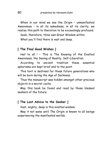When in our mind we see the Origin – unmanifested Awareness - in all its nakedness, in all its clarity, we realize this path to liberation to be exceedingly profound.

Seek, therefore, thine own Great Wisdom within.

What you'll find there is vast and deep.

#### **[ The Final Good Wishes ]**

Hail to all ! – This is The Knowing of the Exalted Awareness, the Seeing of Reality, Self-Liberation.

According to ancient tradition these essential aphorisms are kept brief and to the point.

This text is destined for those future generations who will be born during the Age of Darkness.

Thus the manuscript was hidden amongst other precious objects in a secret cache.

May this book be found and read by those blessed seekers of the future.

#### **[ The Last Advice to the Seeker ]**

Vast, mighty, deep is this exalted wisdom.

May it not wane until The Origin is known to all beings experiencing the manifested worlds.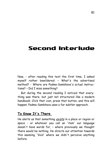# **Second Interlude**

Now, - after reading this text the first time, I asked myself rather bewildered: – What's the advertised method? - Where are Padma-Sambhava's actual instructions? – Did I miss something?

But during the second reading I noticed that everything was there, but just not structured like a modern handbook: Click that icon, press that button, and this will happen. Padma-Sambhava uses a far subtler approach.

### To Know It's There

He alerts us that something exists in a place or region or space - or whatever you call an 'item' our language doesn't have words for, – where previously we thought there would be nothing. He directs our attention towards this seeming 'Void' where we didn't perceive anything before.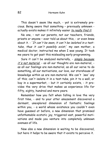This doesn't seem like much, - yet is extremely precious. Being aware that something – previously unknown actually exists makes it infinitely easier to really find it.

No one, – not our parents, not our teachers, friends, priests or anyone – ever told us about this, - or even knew about it. - 'It can't be seen, it can't be isolated in a testtube, thus it can't possibly exist,' my own mother, a medical doctor, instructed me when I was young. It took me years to get past this misleading early programming.

Sure it can't be analyzed materially, - simply because it's not material, - as all our thoughts are non-material, as all our feelings are non-material, as all our verve to do something, all our motivations, our love, our storehouse of knowledge within us are non-material. We can't 'see' any of this; can't isolate it in a test-tube, pin it to a wall, or buy in a supermarket, - but it certainly exists, - it provides the very drive that makes us experience life for fifty, eighty, hundred and more years.

Remember how you felt when falling in love the very first time, - and to your utter amazement discovered a dormant, unexplored dimension of fantastic feelings within you, - a world whose existence you couldn't even have guessed at before, a new dimension that promised unfathomable ecstatic joy, triggered vast, powerful motivations and made you venture into completely unknown avenues of life.

Now also a new dimension is waiting to be discovered, but here it helps to be aware that it exists to perceive it.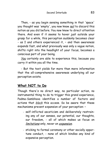Then, - as you begin sensing something in that 'space' you thought was 'empty', you now know not to discard this notion as you did before. You now know to direct attention there. And even if it seems to hover just outside your grasp for a while, this perception suddenly becomes clear - as I and others experienced it, – and then awareness expands fast, and what previously was only a vague notion, shifts right into the headlight of your focus, becomes a conscious part of your being.

You certainly are able to experience this, because you carry it within you all the time.

- But the text yields far more than mere information that the all-comprehensive awareness underlying all our perception exists.

# **What NOT to Do**

Though there's no direct way, no particular action, no instrumental thing to do to trigger this grand experience, Padma-Sambhava identifies a number of factors and actions that block this access. So be aware that these mechanisms prevent expansion of your perception: –

- self-inflicted asceticism and deliberately restraining any of our senses, our potential, our thoughts, our freedom, - all of which makes us focus on limitations only, never on expansion.
- sticking to formal ceremony or other socially opportune conduct, - none of which kindles any kind of expansive perception.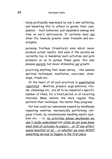- being profoundly impressed by one's own suffering, and lamenting this to others to garner their compassion. - Such behaviour just squanders energy and time on one's deficiencies. It certainly does not steer life towards greater inner freedom and sovereignty.
- pursuing fruitless (transitory) aims which never produce actual results. And even if the society we currently live in mandates such activities and puts pressure on us to pursue these goals, this only pleases society, but never stimulates our growth.
- practicing anything that leads astray, like useless spiritual techniques, meditation, exercises, cleansings, rituals etc.

At the heart of all such practices is quantitative repetition. - Mantras, prayers, yoga postures, rituals, cleansings etc., are all to be repeated a specific number of times, for a fixed period, or at recurring intervals. Many believe the more regular they perform their technique, the faster they progress.

Yet how could our awareness expand by mindlessly repeating mantras, mechanically performing religious rituals, by ceremoniously handling mystic symbols etc. - i.e. by activities whose mechanism we don't really understand and often do not even know what kind of outcome to expect, - or IF any effect would manifest at all, - or whether we even WANT something serious to happen in the first place.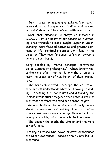Sure, - some techniques may make us 'feel good', more relaxed and calmer, yet 'feeling good, relaxed and calm' should not be confused with inner growth.

Real inner expansion is always an increase in QUALITY. It is a boost of our capacities, a sweeping breakthrough to more insight, superior understanding, more focused activities and greater command of life. Spiritual practices don't lead in this direction. They never 'produce' sufficient power to generate such burst.

- being dazzled by 'mental concepts, constructs, belief-systems or philosophies' - whose knotty reasoning more often than not is only the attempt to mask the gross lack of real insight of their originators.

The more complicated a concept, the less its author himself understands what he is saying or writing. Unmasking such constructs and discarding the useless intellectual arrogance that often surrounds such theories frees the mind for deeper insight.

Genuine truth is always simple and easily understood by everyone. Yet voicing plain truth often takes considerably more courage than articulating incomprehensible, but suave intellectual nonsense.

The deeper the truth, the simpler and the more powerful it is.

- listening to those who never directly experienced the Great Awareness – because their views lack all substance.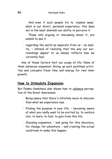And even if such people try to 'explain away' what is our direct, personal experience, this does not in the least diminish our ability to perceive it.

Those only arguing or discussing about it, are unable to see it.

- regarding the world as separate from us – as duality, – instead of realizing that the way our surroundings appear to us always reflects how we currently feel.

Any of these factors limit our scope of life. None of them advances expansion. Giving up such pointless activities and concepts frees time and energy for real inner growth.

### **How to Stimulate Expansion**

But Padma-Sambhava also shows how to *advance* perception of the Great Awareness:

- Being aware that there's infinitely more to discover than what we experience now.
- Finding the purpose in your life, becoming aware of what you really want to be excited by, to venture into, to learn, to feel, to gain from this life.
- Choosing expansion, and going for this discovery, for change, for adventure, - and creating the actual conditions to make this happen.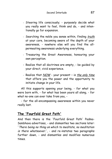- Steering life consciously; purposely decide what you really want to feel, think and do, - and intentionally go for expansion.
- Searching the noble you sense within, finding truth at your core, becoming aware of the depth of your awareness, - nowhere else will you find the allpermeating awareness underlying everything.
- Treasuring the Great Awareness, honouring your own perception.
- Realize that all doctrines are empty, be guided by your direct, vivid experience.
- Realize that NOW your present is the only time that offers you the power and the opportunity to initiate change in your life.

All this supports opening your being, - for what you were born with, - for what has been yours all along, - for what no-one can ever take from you, -

- for the all-encompassing awareness within you never really lost.

#### **T he 'Fourfold Great Path'**

And then there is the 'Fourfold Great Path' Padma-Sambhava advertises, - and dismantles two sections later: 'There being no thing on which to meditate, no meditation is there whatsoever.', - and re-instates two paragraphs further down, - and dismantles and modifies numerous times.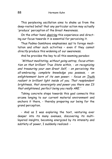This perplexing oscillation aims to shake us from the deep-rooted belief that any particular action may actually 'produce' perception of the Great Awareness.

On the other hand *desiring* this experience and directing our focus towards it is essential for perceiving it.

Thus Padma-Sambhava emphasises not to forego meditation and other such activities – even if they cannot directly produce this widening of our awareness.

And he provides the key to all this seeming paradox:

'Without meditating, without going astray, focus attention on that brilliant True State within, - on recognizing and treasuring your own Great Self, - on perceiving the all-embracing, complete knowledge you possess, - on enlightenment born of its own power; - focus on Truth radiant in brilliant light inside of you. That resplendent brightness, that sovereignty and power you there see IS that enlightened, perfect being you really ARE.'

Taking concrete steps towards this goal connects this arcane longing to our current material environment and anchors it there, - thereby preparing our being for the grand perception.

- And as I was exploring the text, venturing ever deeper into its many avenues, discovering its multilayered insights, becoming energized by its intensity and subtlety of power, I suddenly realized: -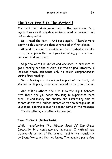## **The Text Itself Is The Method !**

The text itself does something to the awareness. In a mysterious way it somehow enlivens what is dormant and hidden deep within.

So, - read the text. – And read again. - There's more depth to this scripture than is revealed at first glance.

Allow it to rouse, to awaken you to a fantastic, exhilarating perception that was yours all along, yet which noone ever told you about.

Skip the words in *italics* and enclosed in brackets to get a feeling for the rhythm, for the original intensity. I included these comments only to assist comprehension during first reading.

Get a feeling for the original impact of the text, get stirred by its pace, become entranced by its grand theme.

And talk to others who also show the signs. Connect with those who you sense also long to experience more than TV and money and shallow fun. Expressing this to others shifts this hidden dimension to the foreground of your mind, opening access to deeper parts of the message.

Inspire others, - as others inspire you.

#### **Two Curious Distortions**

While transferring The Tibetan Book Of The Great Liberation into contemporary language, I noticed two bizarre distortions of the original text in the translation by Evans-Wenz and the two lamas. The mangled parts deal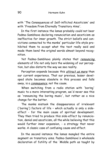with 'The Consequences of Self-inflicted Asceticism' and with 'Freedom From Eternally Transitory Aims'.

In the first instance the lamas probably could not bear Padma-Sambhava declaring renunciation and asceticism as ineffective for inner growth. The strict beliefs and convictions connected to the monks' particular life-style prohibited them to accept what the text really said and made them bend the original words almost beyond recognition.

Yet Padma-Sambhava plainly states that renouncing elements of life not only bars the widening of our perception, but also distorts the way we see reality.

Perception expands because this attract us more than our current experience. That our previous, lesser developed state becomes obsolete in this process and falls away, is a consequence, not the cause.

When switching from a radio station with 'boring' music to a more interesting program, we'd never see this as 'renouncing the boring music', but rather as a nice change for the better.

The monks mistook the disappearance of irrelevant ('boring') factors of life – which actually is only a sideeffect - for the main cause of spiritual development. They then tried to produce this side-effect by renunciation, denial and asceticism, all the while believing that this would further inner expansion, - a strategy that never works. A classic case of confusing cause and effect.

In the second instance the lamas mangled the entire segment on transitory aims. Padma-Sambhava's wholesale declaration of futility of the 'Middle path as taught by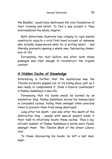the Buddha', would have destroyed the very foundation of their training and belief. To find a way around it, they mistranslated the whole chapter.

Both distortions illustrate how clinging to rigid mental constructs rejects a vivid first-hand account of someone who actually experienced what he is writing about, - and thereby prevents opening a whole new, fascinating dimension of life

Fortunately the text before and after both these passages was clear enough to reconstruct the original content.

# **A Hidden Cache of Knowledge**

Interesting is further that the mysterious way the Tibetan scripture popped out of its hiding place just as I was ready to comprehend it, finds a bizarre counterpart in Padma-Sambhava's own life.

Foreseeing that his books would be burned by an insensitive king, Padma-Sambhava buried his manuscripts in concealed caches, hiding them amongst other precious items to prevent them from being destroyed.

Long after his death – and also after the death of the destructive king - people with special powers made it their task to intuitively locate these caches. Thus a significant number of Padma-Sambhava's works were found, amongst them 'The Tibetan Book of the Great Liberation'.

To those discovering his books, he left a last message: -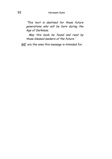'This text is destined for those future generations who will be born during the Age of Darkness.

May this book be found and read by those blessed seekers of the future.'

 $ME$  are the ones this message is intended for.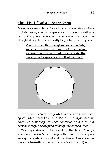# **The INSIDE of a Circular Room**

During my research, as I was tracing similar descriptions of this grand, riveting experience in numerous religions and philosophies, in ancient as in recent cultures, one thought slowly, but persistently began to form in my mind:

> Could it be that religions were portals, **were entrances to one and the same circular room, - and that they provide the same grand experience to all who enter?**



The word 'religion' originates in the Latin verb 'religare', which means to 're-connect', - 'to again become aware of something we were conscious of before, but somehow forgot or stopped thinking about for a while'.

The same idea is at the heart of the term 'Yoga', which also connects two things - that part of us experiencing the material world and the Grand Awareness we truly are beneath our currently manifested (small) self.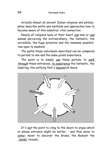Actually almost all ancient Indian religions and philosophies describe paths and methods and approaches how to become aware of this essential, vital connection.

Nearly all religions have at their heart one man or one woman perceiving the extraordinary, the fantastic, the incredible, the huge potential and the immense possibilities open to mankind.

The paths these individuals described can be compared to portals to one and the same grand experience.

The point is to simply use these portals, to walk through these entrances, to experience the fantastic, the inspiring, the unifying that's **beyond** all doors.



It's not the point to cling to the doors to argue which or whose entrance might be better, - and thus never to enter, never to discover the Grand, the Radiant the 'inside' reveals.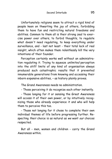Unfortunately religions seem to attract a rigid kind of people keen on thwarting the joy of others, forbidding them to have fun and restricting natural freedoms and abilities. Common to them all is their strong zeal to exercise power over others, to forbid thoughts, to regulate what doesn't need regulating, to keep everything under surveillance, and - last not least - their total lack of real insight, which often makes them relentlessly kill the very intentions of their founder.

Perception certainly works well without an administration regulating it. Trying to squeeze unlimited perception into the stiff limits of any kind of organisation always produced such catastrophic results that it prevented innumerable generations from knowing and accessing their inborn expansive abilities, – as history plainly proves.

The Grand Awareness needs no administration.

- Those perceiving it do recognize each other instantly.

- Those longing for it or sensing the Great Awareness will access it of their own power, or by intuitively recognizing those who already experience it and who will help them to perceive this too.

- Those not longing for it chose to complete their own individual themes of life before progressing further. Respecting their choice is as natural as we want our choices respected.

But all - men, women and children - carry the Grand Awareness within.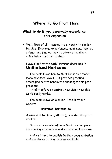# **Where To Go From Here**

## **What to do if you personally experience this expansion**

- Well, first of all, connect to others with similar insights. Exchange experiences, meet new, inspired friends and find out how to advance together. - See below for first contact.
- Have a look at the path Hermann describes in **Unlimited Horizons**.

The book shows how to shift focus to broader, more advanced levels. - It provides practical strategies how to handle the challenges this path presents.

- And it offers an entirely new vision how this world really works.

The book is available online. Read it at our website

#### **unlimited-horizons.de**

download it for free (pdf-file), or order the printversion.

On our site we also offer a first meeting place for sharing experiences and exchanging know-how.

And we intend to publish further documentation and scriptures as they become available.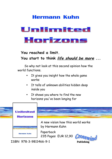# **Hermann Kuhn**

# Unlimited Horizons

# **You reached a limit. You start to think life should be more ...**

So why not look at this second opinion how the world functions.

- It gives you insight how the whole game works
- It tells of unknown abilities hidden deep inside you
- It shows you where to find the new horizons you've been longing for



ISBN 978-3-9811466-9-1 **Publishing**